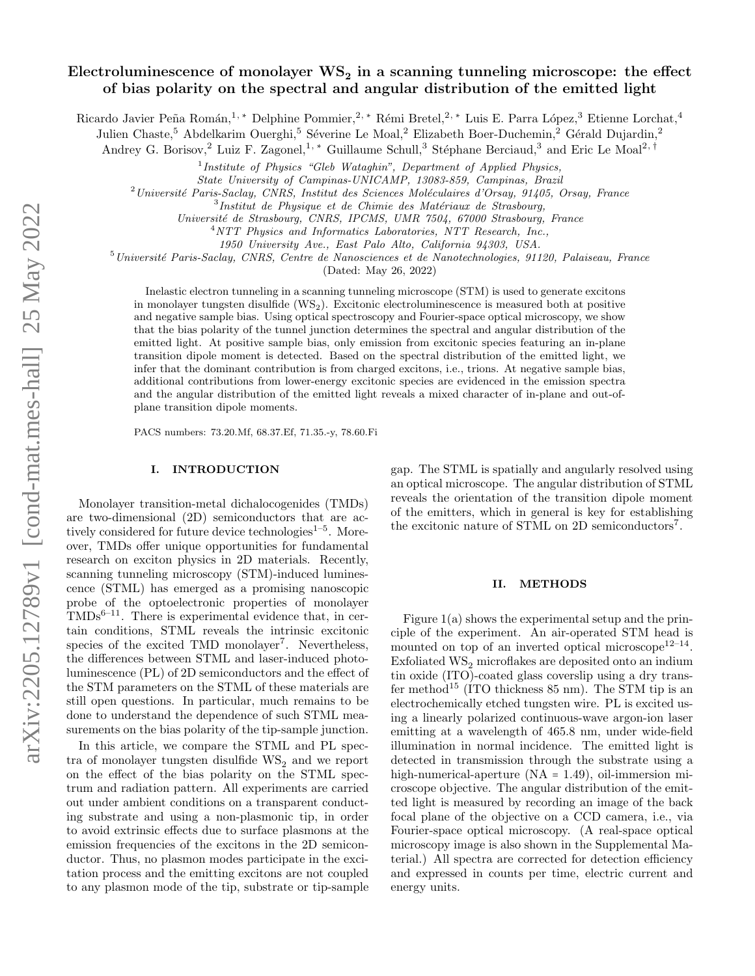### Electroluminescence of monolayer  $\mathrm{WS}_2$  in a scanning tunneling microscope: the effect of bias polarity on the spectral and angular distribution of the emitted light

Ricardo Javier Peña Román,<sup>1, \*</sup> Delphine Pommier,<sup>2, \*</sup> Rémi Bretel,<sup>2, \*</sup> Luis E. Parra López,<sup>3</sup> Etienne Lorchat,<sup>4</sup>

Julien Chaste,<sup>5</sup> Abdelkarim Ouerghi,<sup>5</sup> Séverine Le Moal,<sup>2</sup> Elizabeth Boer-Duchemin,<sup>2</sup> Gérald Dujardin,<sup>2</sup>

Andrey G. Borisov,<sup>2</sup> Luiz F. Zagonel,<sup>1,\*</sup> Guillaume Schull,<sup>3</sup> Stéphane Berciaud,<sup>3</sup> and Eric Le Moal<sup>2,†</sup>

<sup>1</sup>Institute of Physics "Gleb Wataghin", Department of Applied Physics,

State University of Campinas-UNICAMP, 13083-859, Campinas, Brazil

 $^{2}$ Université Paris-Saclay, CNRS, Institut des Sciences Moléculaires d'Orsay, 91405, Orsay, France

 $3$ Institut de Physique et de Chimie des Matériaux de Strasbourg,

Universit´e de Strasbourg, CNRS, IPCMS, UMR 7504, 67000 Strasbourg, France

 $^{4}NTT$  Physics and Informatics Laboratories, NTT Research, Inc.,

1950 University Ave., East Palo Alto, California 94303, USA.

 $^{5}$ Université Paris-Saclay, CNRS, Centre de Nanosciences et de Nanotechnologies, 91120, Palaiseau, France

(Dated: May 26, 2022)

Inelastic electron tunneling in a scanning tunneling microscope (STM) is used to generate excitons in monolayer tungsten disulfide  $(WS_2)$ . Excitonic electroluminescence is measured both at positive and negative sample bias. Using optical spectroscopy and Fourier-space optical microscopy, we show that the bias polarity of the tunnel junction determines the spectral and angular distribution of the emitted light. At positive sample bias, only emission from excitonic species featuring an in-plane transition dipole moment is detected. Based on the spectral distribution of the emitted light, we infer that the dominant contribution is from charged excitons, i.e., trions. At negative sample bias, additional contributions from lower-energy excitonic species are evidenced in the emission spectra and the angular distribution of the emitted light reveals a mixed character of in-plane and out-ofplane transition dipole moments.

PACS numbers: 73.20.Mf, 68.37.Ef, 71.35.-y, 78.60.Fi

#### I. INTRODUCTION

Monolayer transition-metal dichalocogenides (TMDs) are two-dimensional (2D) semiconductors that are actively considered for future device technologies<sup> $1-5$ </sup>. Moreover, TMDs offer unique opportunities for fundamental research on exciton physics in 2D materials. Recently, scanning tunneling microscopy (STM)-induced luminescence (STML) has emerged as a promising nanoscopic probe of the optoelectronic properties of monolayer  $TMDs^{6-11}$ . There is experimental evidence that, in certain conditions, STML reveals the intrinsic excitonic species of the excited TMD monolayer<sup>7</sup>. Nevertheless, the differences between STML and laser-induced photoluminescence (PL) of 2D semiconductors and the effect of the STM parameters on the STML of these materials are still open questions. In particular, much remains to be done to understand the dependence of such STML measurements on the bias polarity of the tip-sample junction.

In this article, we compare the STML and PL spectra of monolayer tungsten disulfide  $WS_2$  and we report on the effect of the bias polarity on the STML spectrum and radiation pattern. All experiments are carried out under ambient conditions on a transparent conducting substrate and using a non-plasmonic tip, in order to avoid extrinsic effects due to surface plasmons at the emission frequencies of the excitons in the 2D semiconductor. Thus, no plasmon modes participate in the excitation process and the emitting excitons are not coupled to any plasmon mode of the tip, substrate or tip-sample

gap. The STML is spatially and angularly resolved using an optical microscope. The angular distribution of STML reveals the orientation of the transition dipole moment of the emitters, which in general is key for establishing the excitonic nature of STML on 2D semiconductors<sup>7</sup>.

#### II. METHODS

Figure 1(a) shows the experimental setup and the principle of the experiment. An air-operated STM head is mounted on top of an inverted optical microscope<sup>12–14</sup>. Exfoliated  $WS_2$  microflakes are deposited onto an indium tin oxide (ITO)-coated glass coverslip using a dry transfer method<sup>15</sup> (ITO thickness  $85 \text{ nm}$ ). The STM tip is an electrochemically etched tungsten wire. PL is excited using a linearly polarized continuous-wave argon-ion laser emitting at a wavelength of 465.8 nm, under wide-field illumination in normal incidence. The emitted light is detected in transmission through the substrate using a high-numerical-aperture (NA = 1.49), oil-immersion microscope objective. The angular distribution of the emitted light is measured by recording an image of the back focal plane of the objective on a CCD camera, i.e., via Fourier-space optical microscopy. (A real-space optical microscopy image is also shown in the Supplemental Material.) All spectra are corrected for detection efficiency and expressed in counts per time, electric current and energy units.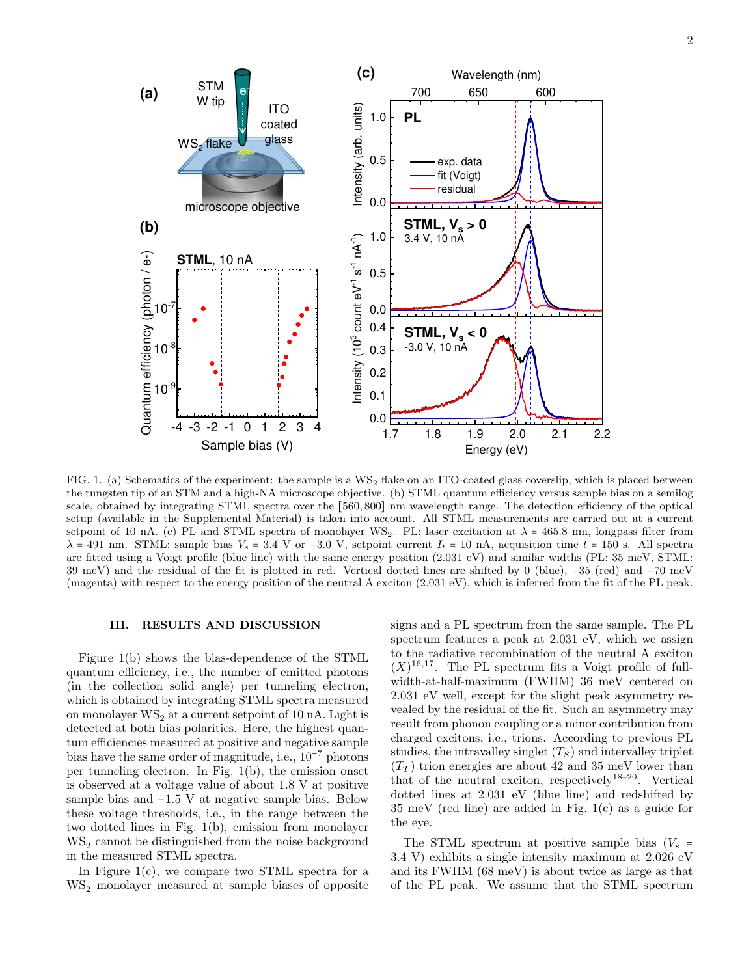

FIG. 1. (a) Schematics of the experiment: the sample is a  $WS_2$  flake on an ITO-coated glass coverslip, which is placed between the tungsten tip of an STM and a high-NA microscope objective. (b) STML quantum efficiency versus sample bias on a semilog scale, obtained by integrating STML spectra over the [560, 800] nm wavelength range. The detection efficiency of the optical setup (available in the Supplemental Material) is taken into account. All STML measurements are carried out at a current setpoint of 10 nA. (c) PL and STML spectra of monolayer WS<sub>2</sub>. PL: laser excitation at  $\lambda = 465.8$  nm, longpass filter from  $\lambda$  = 491 nm. STML: sample bias  $V_s$  = 3.4 V or −3.0 V, setpoint current  $I_t$  = 10 nA, acquisition time t = 150 s. All spectra are fitted using a Voigt profile (blue line) with the same energy position (2.031 eV) and similar widths (PL: 35 meV, STML: 39 meV) and the residual of the fit is plotted in red. Vertical dotted lines are shifted by 0 (blue), −35 (red) and −70 meV (magenta) with respect to the energy position of the neutral A exciton (2.031 eV), which is inferred from the fit of the PL peak.

#### III. RESULTS AND DISCUSSION

Figure 1(b) shows the bias-dependence of the STML quantum efficiency, i.e., the number of emitted photons (in the collection solid angle) per tunneling electron, which is obtained by integrating STML spectra measured on monolayer  $WS_2$  at a current setpoint of 10 nA. Light is detected at both bias polarities. Here, the highest quantum efficiencies measured at positive and negative sample bias have the same order of magnitude, i.e., 10−<sup>7</sup> photons per tunneling electron. In Fig. 1(b), the emission onset is observed at a voltage value of about 1.8 V at positive sample bias and −1.5 V at negative sample bias. Below these voltage thresholds, i.e., in the range between the two dotted lines in Fig. 1(b), emission from monolayer  $WS_2$  cannot be distinguished from the noise background in the measured STML spectra.

In Figure 1 $(c)$ , we compare two STML spectra for a WS<sup>2</sup> monolayer measured at sample biases of opposite signs and a PL spectrum from the same sample. The PL spectrum features a peak at 2.031 eV, which we assign to the radiative recombination of the neutral A exciton  $(X)^{16,17}$ . The PL spectrum fits a Voigt profile of fullwidth-at-half-maximum (FWHM) 36 meV centered on 2.031 eV well, except for the slight peak asymmetry revealed by the residual of the fit. Such an asymmetry may result from phonon coupling or a minor contribution from charged excitons, i.e., trions. According to previous PL studies, the intravalley singlet  $(T<sub>S</sub>)$  and intervalley triplet  $(T_T)$  trion energies are about 42 and 35 meV lower than that of the neutral exciton, respectively<sup>18–20</sup>. Vertical dotted lines at 2.031 eV (blue line) and redshifted by 35 meV (red line) are added in Fig. 1(c) as a guide for the eye.

The STML spectrum at positive sample bias  $(V<sub>s</sub> =$ 3.4 V) exhibits a single intensity maximum at 2.026 eV and its FWHM (68 meV) is about twice as large as that of the PL peak. We assume that the STML spectrum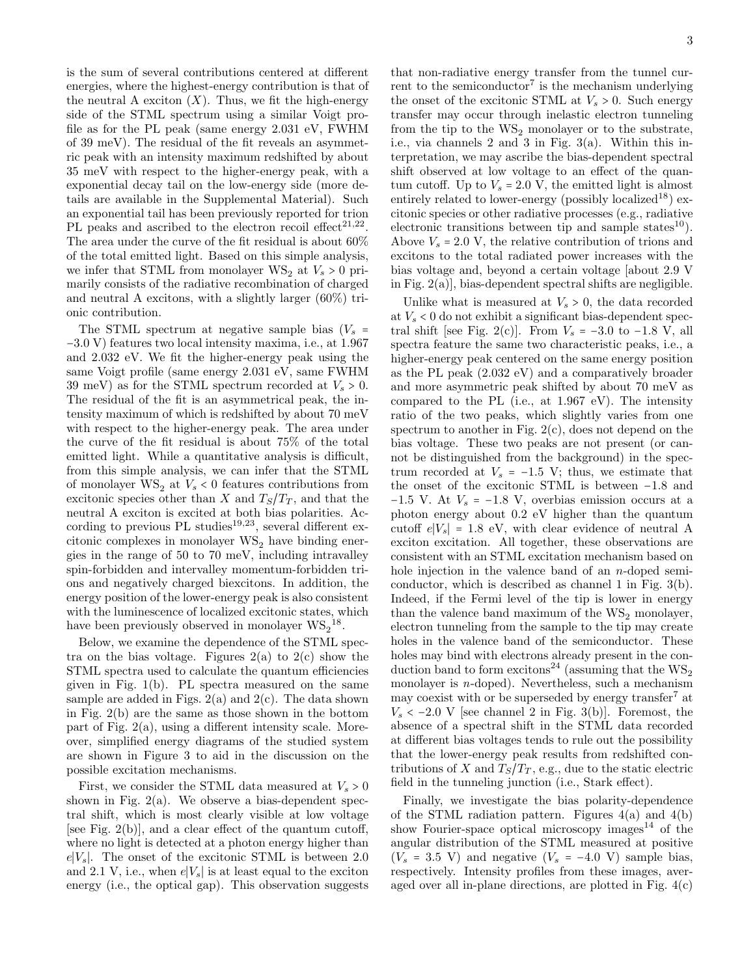is the sum of several contributions centered at different energies, where the highest-energy contribution is that of the neutral A exciton  $(X)$ . Thus, we fit the high-energy side of the STML spectrum using a similar Voigt profile as for the PL peak (same energy 2.031 eV, FWHM of 39 meV). The residual of the fit reveals an asymmetric peak with an intensity maximum redshifted by about 35 meV with respect to the higher-energy peak, with a exponential decay tail on the low-energy side (more details are available in the Supplemental Material). Such an exponential tail has been previously reported for trion PL peaks and ascribed to the electron recoil effect<sup>21,22</sup>. The area under the curve of the fit residual is about 60% of the total emitted light. Based on this simple analysis, we infer that STML from monolayer  $WS_2$  at  $V_s > 0$  primarily consists of the radiative recombination of charged and neutral A excitons, with a slightly larger (60%) trionic contribution.

The STML spectrum at negative sample bias  $(V_s =$ −3.0 V) features two local intensity maxima, i.e., at 1.967 and 2.032 eV. We fit the higher-energy peak using the same Voigt profile (same energy 2.031 eV, same FWHM 39 meV) as for the STML spectrum recorded at  $V_s > 0$ . The residual of the fit is an asymmetrical peak, the intensity maximum of which is redshifted by about 70 meV with respect to the higher-energy peak. The area under the curve of the fit residual is about 75% of the total emitted light. While a quantitative analysis is difficult, from this simple analysis, we can infer that the STML of monolayer  $\text{WS}_2$  at  $V_s < 0$  features contributions from excitonic species other than X and  $T_S/T_T$ , and that the neutral A exciton is excited at both bias polarities. According to previous PL studies<sup>19,23</sup>, several different excitonic complexes in monolayer  $WS_2$  have binding energies in the range of 50 to 70 meV, including intravalley spin-forbidden and intervalley momentum-forbidden trions and negatively charged biexcitons. In addition, the energy position of the lower-energy peak is also consistent with the luminescence of localized excitonic states, which have been previously observed in monolayer  $\text{WS}_2^{\,18}$ .

Below, we examine the dependence of the STML spectra on the bias voltage. Figures  $2(a)$  to  $2(c)$  show the STML spectra used to calculate the quantum efficiencies given in Fig. 1(b). PL spectra measured on the same sample are added in Figs.  $2(a)$  and  $2(c)$ . The data shown in Fig. 2(b) are the same as those shown in the bottom part of Fig. 2(a), using a different intensity scale. Moreover, simplified energy diagrams of the studied system are shown in Figure 3 to aid in the discussion on the possible excitation mechanisms.

First, we consider the STML data measured at  $V_s > 0$ shown in Fig. 2(a). We observe a bias-dependent spectral shift, which is most clearly visible at low voltage [see Fig. 2(b)], and a clear effect of the quantum cutoff, where no light is detected at a photon energy higher than  $e|V_s|$ . The onset of the excitonic STML is between 2.0 and 2.1 V, i.e., when  $e|V_s|$  is at least equal to the exciton energy (i.e., the optical gap). This observation suggests that non-radiative energy transfer from the tunnel current to the semiconductor<sup>7</sup> is the mechanism underlying the onset of the excitonic STML at  $V_s > 0$ . Such energy transfer may occur through inelastic electron tunneling from the tip to the  $WS_2$  monolayer or to the substrate, i.e., via channels 2 and 3 in Fig. 3(a). Within this interpretation, we may ascribe the bias-dependent spectral shift observed at low voltage to an effect of the quantum cutoff. Up to  $V_s = 2.0$  V, the emitted light is almost entirely related to lower-energy (possibly localized<sup>18</sup>) excitonic species or other radiative processes (e.g., radiative electronic transitions between tip and sample states<sup>10</sup>). Above  $V_s = 2.0$  V, the relative contribution of trions and excitons to the total radiated power increases with the bias voltage and, beyond a certain voltage [about 2.9 V in Fig. 2(a)], bias-dependent spectral shifts are negligible.

Unlike what is measured at  $V_s > 0$ , the data recorded at  $V_s < 0$  do not exhibit a significant bias-dependent spectral shift [see Fig. 2(c)]. From  $V_s = -3.0$  to  $-1.8$  V, all spectra feature the same two characteristic peaks, i.e., a higher-energy peak centered on the same energy position as the PL peak (2.032 eV) and a comparatively broader and more asymmetric peak shifted by about 70 meV as compared to the PL (i.e., at 1.967 eV). The intensity ratio of the two peaks, which slightly varies from one spectrum to another in Fig. 2(c), does not depend on the bias voltage. These two peaks are not present (or cannot be distinguished from the background) in the spectrum recorded at  $V_s = -1.5$  V; thus, we estimate that the onset of the excitonic STML is between −1.8 and −1.5 V. At  $V_s$  = −1.8 V, overbias emission occurs at a photon energy about 0.2 eV higher than the quantum cutoff  $e|V_s| = 1.8$  eV, with clear evidence of neutral A exciton excitation. All together, these observations are consistent with an STML excitation mechanism based on hole injection in the valence band of an *n*-doped semiconductor, which is described as channel 1 in Fig. 3(b). Indeed, if the Fermi level of the tip is lower in energy than the valence band maximum of the  $WS_2$  monolayer, electron tunneling from the sample to the tip may create holes in the valence band of the semiconductor. These holes may bind with electrons already present in the conduction band to form excitons<sup>24</sup> (assuming that the  $\text{WS}_2$ ) monolayer is  $n$ -doped). Nevertheless, such a mechanism may coexist with or be superseded by energy transfer<sup>7</sup> at  $V_s < -2.0$  V [see channel 2 in Fig. 3(b)]. Foremost, the absence of a spectral shift in the STML data recorded at different bias voltages tends to rule out the possibility that the lower-energy peak results from redshifted contributions of X and  $T_S/T_T$ , e.g., due to the static electric field in the tunneling junction (i.e., Stark effect).

Finally, we investigate the bias polarity-dependence of the STML radiation pattern. Figures  $4(a)$  and  $4(b)$ show Fourier-space optical microscopy images $^{14}$  of the angular distribution of the STML measured at positive  $(V_s = 3.5 \text{ V})$  and negative  $(V_s = -4.0 \text{ V})$  sample bias, respectively. Intensity profiles from these images, averaged over all in-plane directions, are plotted in Fig. 4(c)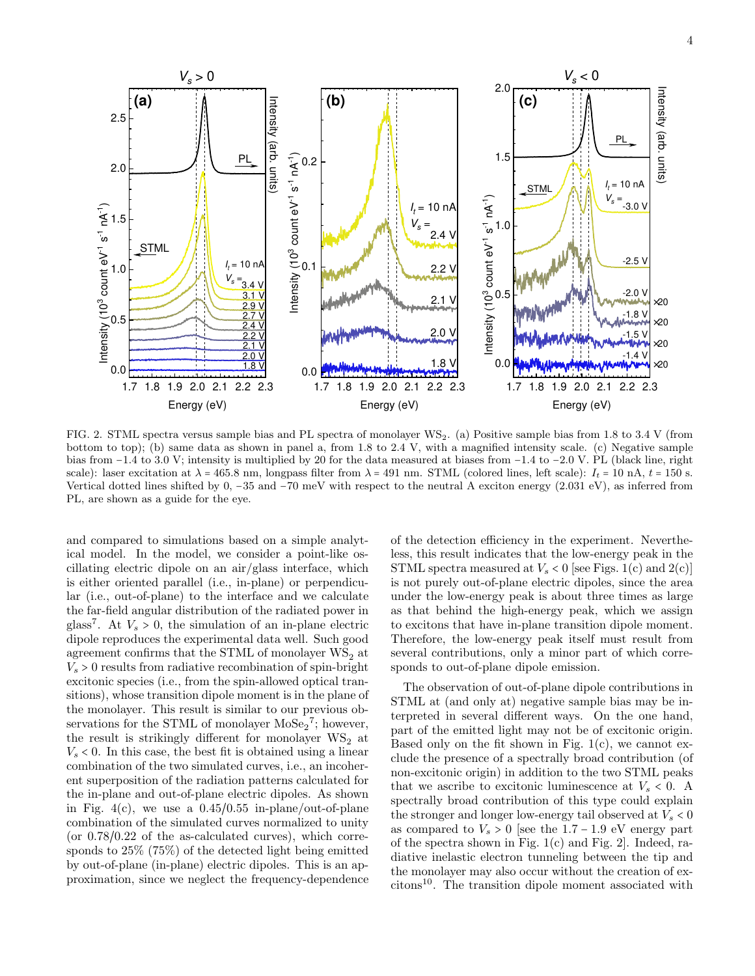

FIG. 2. STML spectra versus sample bias and PL spectra of monolayer WS<sub>2</sub>. (a) Positive sample bias from 1.8 to 3.4 V (from bottom to top); (b) same data as shown in panel a, from 1.8 to 2.4 V, with a magnified intensity scale. (c) Negative sample bias from −1.4 to 3.0 V; intensity is multiplied by 20 for the data measured at biases from −1.4 to −2.0 V. PL (black line, right scale): laser excitation at  $\lambda = 465.8$  nm, longpass filter from  $\lambda = 491$  nm. STML (colored lines, left scale):  $I_t = 10$  nA,  $t = 150$  s. Vertical dotted lines shifted by 0, −35 and −70 meV with respect to the neutral A exciton energy (2.031 eV), as inferred from PL, are shown as a guide for the eye.

and compared to simulations based on a simple analytical model. In the model, we consider a point-like oscillating electric dipole on an air/glass interface, which is either oriented parallel (i.e., in-plane) or perpendicular (i.e., out-of-plane) to the interface and we calculate the far-field angular distribution of the radiated power in glass<sup>7</sup>. At  $V_s > 0$ , the simulation of an in-plane electric dipole reproduces the experimental data well. Such good agreement confirms that the STML of monolayer  $WS_2$  at  $V_s > 0$  results from radiative recombination of spin-bright excitonic species (i.e., from the spin-allowed optical transitions), whose transition dipole moment is in the plane of the monolayer. This result is similar to our previous observations for the STML of monolayer  $\text{MoSe}_{2}^{\phantom{2}7}$ ; however, the result is strikingly different for monolayer  $WS_2$  at  $V_s$  < 0. In this case, the best fit is obtained using a linear combination of the two simulated curves, i.e., an incoherent superposition of the radiation patterns calculated for the in-plane and out-of-plane electric dipoles. As shown in Fig.  $4(c)$ , we use a  $0.45/0.55$  in-plane/out-of-plane combination of the simulated curves normalized to unity (or 0.78/0.22 of the as-calculated curves), which corresponds to 25% (75%) of the detected light being emitted by out-of-plane (in-plane) electric dipoles. This is an approximation, since we neglect the frequency-dependence

of the detection efficiency in the experiment. Nevertheless, this result indicates that the low-energy peak in the STML spectra measured at  $V_s < 0$  [see Figs. 1(c) and 2(c)] is not purely out-of-plane electric dipoles, since the area under the low-energy peak is about three times as large as that behind the high-energy peak, which we assign to excitons that have in-plane transition dipole moment. Therefore, the low-energy peak itself must result from several contributions, only a minor part of which corresponds to out-of-plane dipole emission.

The observation of out-of-plane dipole contributions in STML at (and only at) negative sample bias may be interpreted in several different ways. On the one hand, part of the emitted light may not be of excitonic origin. Based only on the fit shown in Fig.  $1(c)$ , we cannot exclude the presence of a spectrally broad contribution (of non-excitonic origin) in addition to the two STML peaks that we ascribe to excitonic luminescence at  $V_s < 0$ . A spectrally broad contribution of this type could explain the stronger and longer low-energy tail observed at  $V_s < 0$ as compared to  $V_s > 0$  [see the 1.7 – 1.9 eV energy part of the spectra shown in Fig. 1(c) and Fig. 2]. Indeed, radiative inelastic electron tunneling between the tip and the monolayer may also occur without the creation of ex $c<sup>10</sup>. The transition dipole moment associated with$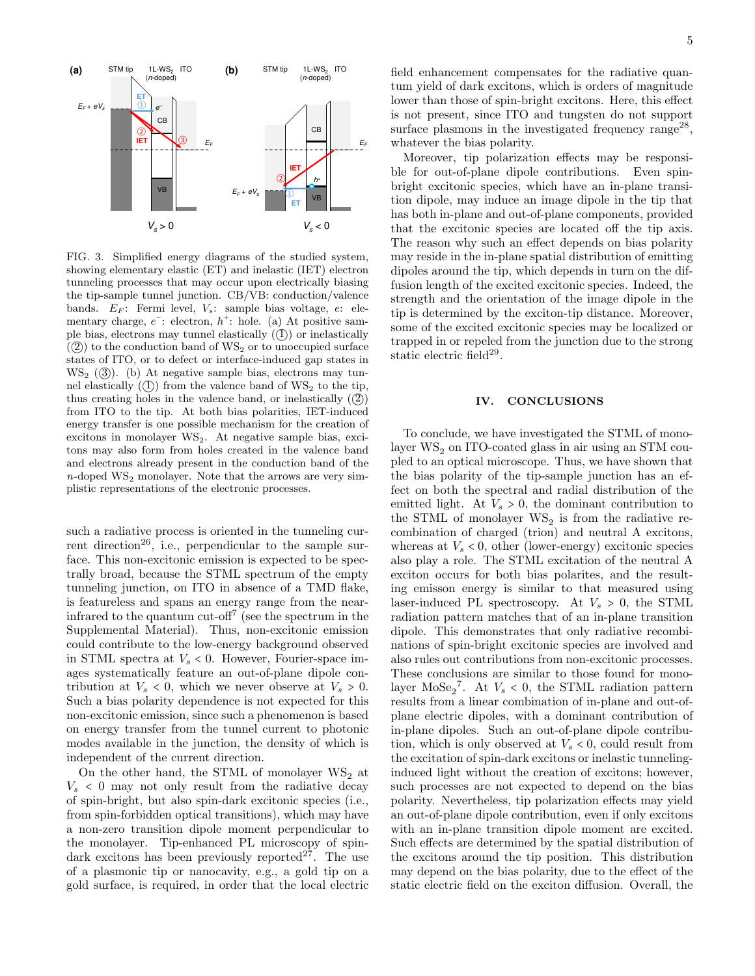

FIG. 3. Simplified energy diagrams of the studied system, showing elementary elastic (ET) and inelastic (IET) electron tunneling processes that may occur upon electrically biasing the tip-sample tunnel junction. CB/VB: conduction/valence bands.  $E_F$ : Fermi level,  $V_s$ : sample bias voltage, e: elementary charge,  $e^-$ : electron,  $h^+$ : hole. (a) At positive sample bias, electrons may tunnel elastically  $(\hat{I})$  or inelastically  $(2)$  to the conduction band of WS<sub>2</sub> or to unoccupied surface states of ITO, or to defect or interface-induced gap states in  $WS_2$  (3). (b) At negative sample bias, electrons may tunnel elastically  $(1)$  from the valence band of WS<sub>2</sub> to the tip, thus creating holes in the valence band, or inelastically  $(2)$ from ITO to the tip. At both bias polarities, IET-induced energy transfer is one possible mechanism for the creation of excitons in monolayer  $WS_2$ . At negative sample bias, excitons may also form from holes created in the valence band and electrons already present in the conduction band of the  $n$ -doped  $WS_2$  monolayer. Note that the arrows are very simplistic representations of the electronic processes.

such a radiative process is oriented in the tunneling current direction<sup>26</sup>, i.e., perpendicular to the sample surface. This non-excitonic emission is expected to be spectrally broad, because the STML spectrum of the empty tunneling junction, on ITO in absence of a TMD flake, is featureless and spans an energy range from the nearinfrared to the quantum cut-off<sup> $7$ </sup> (see the spectrum in the Supplemental Material). Thus, non-excitonic emission could contribute to the low-energy background observed in STML spectra at  $V_s < 0$ . However, Fourier-space images systematically feature an out-of-plane dipole contribution at  $V_s < 0$ , which we never observe at  $V_s > 0$ . Such a bias polarity dependence is not expected for this non-excitonic emission, since such a phenomenon is based on energy transfer from the tunnel current to photonic modes available in the junction, the density of which is independent of the current direction.

On the other hand, the STML of monolayer  $WS_2$  at  $V_s$  < 0 may not only result from the radiative decay of spin-bright, but also spin-dark excitonic species (i.e., from spin-forbidden optical transitions), which may have a non-zero transition dipole moment perpendicular to the monolayer. Tip-enhanced PL microscopy of spindark excitons has been previously reported<sup>27</sup>. The use of a plasmonic tip or nanocavity, e.g., a gold tip on a gold surface, is required, in order that the local electric

field enhancement compensates for the radiative quantum yield of dark excitons, which is orders of magnitude lower than those of spin-bright excitons. Here, this effect is not present, since ITO and tungsten do not support surface plasmons in the investigated frequency range<sup>28</sup>, whatever the bias polarity.

Moreover, tip polarization effects may be responsible for out-of-plane dipole contributions. Even spinbright excitonic species, which have an in-plane transition dipole, may induce an image dipole in the tip that has both in-plane and out-of-plane components, provided that the excitonic species are located off the tip axis. The reason why such an effect depends on bias polarity may reside in the in-plane spatial distribution of emitting dipoles around the tip, which depends in turn on the diffusion length of the excited excitonic species. Indeed, the strength and the orientation of the image dipole in the tip is determined by the exciton-tip distance. Moreover, some of the excited excitonic species may be localized or trapped in or repeled from the junction due to the strong static electric field<sup>29</sup>.

#### IV. CONCLUSIONS

To conclude, we have investigated the STML of monolayer  $WS_2$  on ITO-coated glass in air using an STM coupled to an optical microscope. Thus, we have shown that the bias polarity of the tip-sample junction has an effect on both the spectral and radial distribution of the emitted light. At  $V_s > 0$ , the dominant contribution to the STML of monolayer  $WS_2$  is from the radiative recombination of charged (trion) and neutral A excitons, whereas at  $V_s < 0$ , other (lower-energy) excitonic species also play a role. The STML excitation of the neutral A exciton occurs for both bias polarites, and the resulting emisson energy is similar to that measured using laser-induced PL spectroscopy. At  $V_s > 0$ , the STML radiation pattern matches that of an in-plane transition dipole. This demonstrates that only radiative recombinations of spin-bright excitonic species are involved and also rules out contributions from non-excitonic processes. These conclusions are similar to those found for monolayer MoSe<sub>2</sub><sup>7</sup>. At  $V_s < 0$ , the STML radiation pattern results from a linear combination of in-plane and out-ofplane electric dipoles, with a dominant contribution of in-plane dipoles. Such an out-of-plane dipole contribution, which is only observed at  $V_s < 0$ , could result from the excitation of spin-dark excitons or inelastic tunnelinginduced light without the creation of excitons; however, such processes are not expected to depend on the bias polarity. Nevertheless, tip polarization effects may yield an out-of-plane dipole contribution, even if only excitons with an in-plane transition dipole moment are excited. Such effects are determined by the spatial distribution of the excitons around the tip position. This distribution may depend on the bias polarity, due to the effect of the static electric field on the exciton diffusion. Overall, the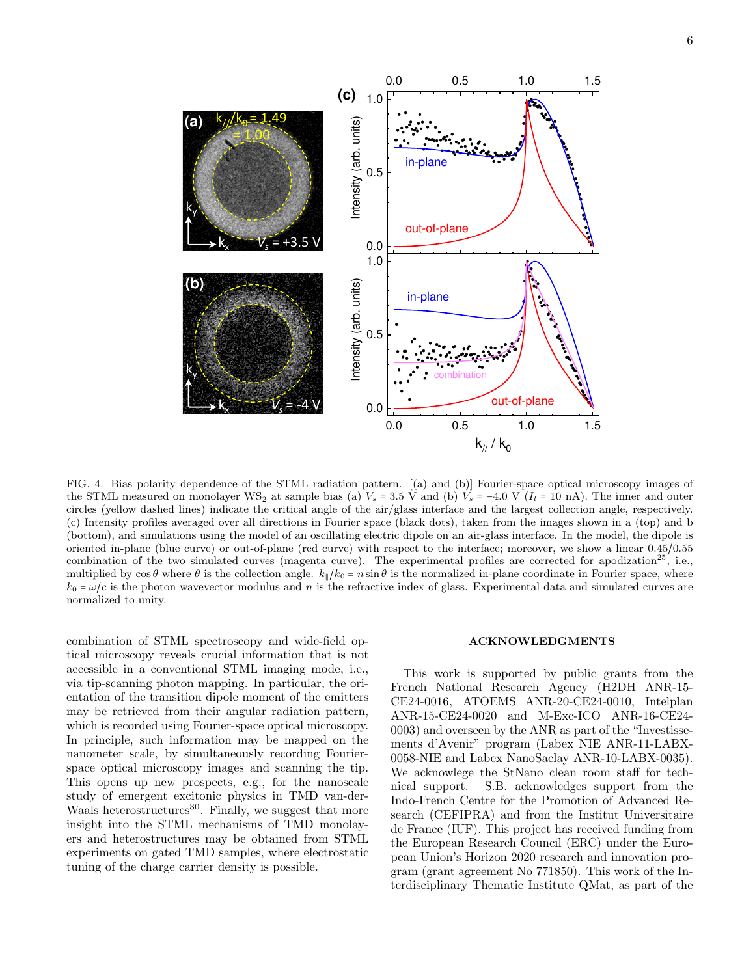

FIG. 4. Bias polarity dependence of the STML radiation pattern. [(a) and (b)] Fourier-space optical microscopy images of the STML measured on monolayer WS<sub>2</sub> at sample bias (a)  $V_s = 3.5$  V and (b)  $V_s = -4.0$  V ( $I_t = 10$  nA). The inner and outer circles (yellow dashed lines) indicate the critical angle of the air/glass interface and the largest collection angle, respectively. (c) Intensity profiles averaged over all directions in Fourier space (black dots), taken from the images shown in a (top) and b (bottom), and simulations using the model of an oscillating electric dipole on an air-glass interface. In the model, the dipole is oriented in-plane (blue curve) or out-of-plane (red curve) with respect to the interface; moreover, we show a linear 0.45/0.55 combination of the two simulated curves (magenta curve). The experimental profiles are corrected for apodization<sup>25</sup>, i.e., multiplied by  $\cos \theta$  where  $\theta$  is the collection angle.  $k_{\parallel}/k_0 = n \sin \theta$  is the normalized in-plane coordinate in Fourier space, where  $k_0 = \omega/c$  is the photon wavevector modulus and n is the refractive index of glass. Experimental data and simulated curves are normalized to unity.

combination of STML spectroscopy and wide-field optical microscopy reveals crucial information that is not accessible in a conventional STML imaging mode, i.e., via tip-scanning photon mapping. In particular, the orientation of the transition dipole moment of the emitters may be retrieved from their angular radiation pattern, which is recorded using Fourier-space optical microscopy. In principle, such information may be mapped on the nanometer scale, by simultaneously recording Fourierspace optical microscopy images and scanning the tip. This opens up new prospects, e.g., for the nanoscale study of emergent excitonic physics in TMD van-der-Waals heterostructures<sup>30</sup>. Finally, we suggest that more insight into the STML mechanisms of TMD monolayers and heterostructures may be obtained from STML experiments on gated TMD samples, where electrostatic tuning of the charge carrier density is possible.

#### ACKNOWLEDGMENTS

This work is supported by public grants from the French National Research Agency (H2DH ANR-15- CE24-0016, ATOEMS ANR-20-CE24-0010, Intelplan ANR-15-CE24-0020 and M-Exc-ICO ANR-16-CE24- 0003) and overseen by the ANR as part of the "Investissements d'Avenir" program (Labex NIE ANR-11-LABX-0058-NIE and Labex NanoSaclay ANR-10-LABX-0035). We acknowlege the StNano clean room staff for technical support. S.B. acknowledges support from the Indo-French Centre for the Promotion of Advanced Research (CEFIPRA) and from the Institut Universitaire de France (IUF). This project has received funding from the European Research Council (ERC) under the European Union's Horizon 2020 research and innovation program (grant agreement No 771850). This work of the Interdisciplinary Thematic Institute QMat, as part of the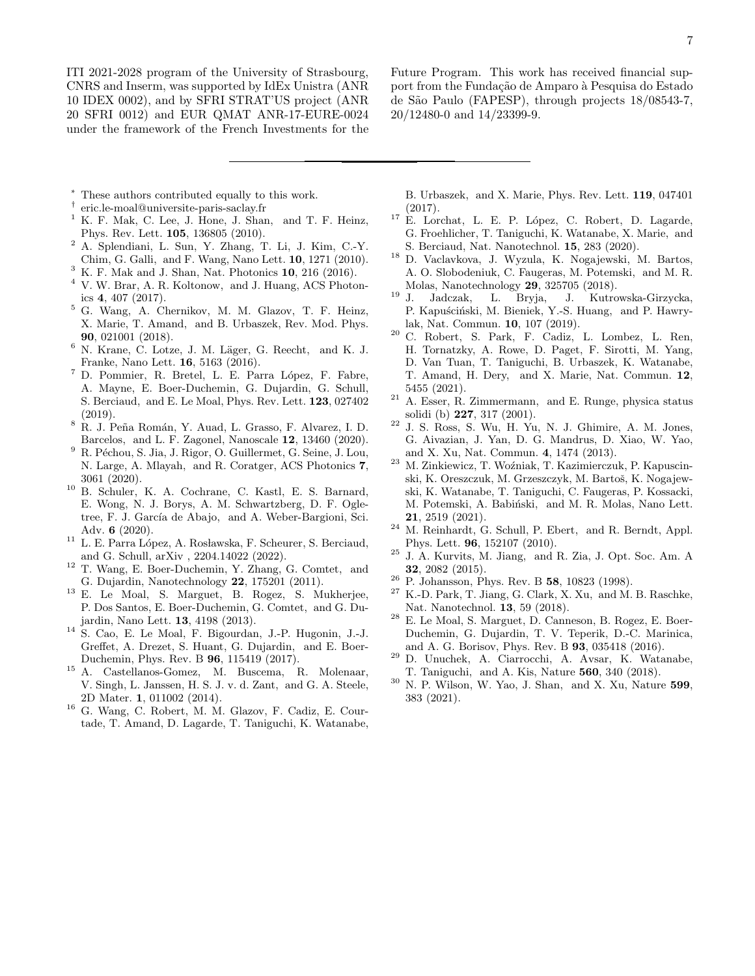ITI 2021-2028 program of the University of Strasbourg, CNRS and Inserm, was supported by IdEx Unistra (ANR 10 IDEX 0002), and by SFRI STRAT'US project (ANR 20 SFRI 0012) and EUR QMAT ANR-17-EURE-0024 under the framework of the French Investments for the

- <sup>∗</sup> These authors contributed equally to this work.
- † eric.le-moal@universite-paris-saclay.fr
- <sup>1</sup> K. F. Mak, C. Lee, J. Hone, J. Shan, and T. F. Heinz, Phys. Rev. Lett. 105, 136805 (2010).
- <sup>2</sup> A. Splendiani, L. Sun, Y. Zhang, T. Li, J. Kim, C.-Y. Chim, G. Galli, and F. Wang, Nano Lett. 10, 1271 (2010).
- $3 K. F.$  Mak and J. Shan, Nat. Photonics 10, 216 (2016).
- $^4\,$  V. W. Brar, A. R. Koltonow, and J. Huang, ACS Photonics 4, 407 (2017).
- <sup>5</sup> G. Wang, A. Chernikov, M. M. Glazov, T. F. Heinz, X. Marie, T. Amand, and B. Urbaszek, Rev. Mod. Phys. 90, 021001 (2018).
- $6$  N. Krane, C. Lotze, J. M. Läger, G. Reecht, and K. J. Franke, Nano Lett. 16, 5163 (2016).
- <sup>7</sup> D. Pommier, R. Bretel, L. E. Parra López, F. Fabre, A. Mayne, E. Boer-Duchemin, G. Dujardin, G. Schull, S. Berciaud, and E. Le Moal, Phys. Rev. Lett. 123, 027402 (2019).
- <sup>8</sup> R. J. Peña Román, Y. Auad, L. Grasso, F. Alvarez, I. D. Barcelos, and L. F. Zagonel, Nanoscale 12, 13460 (2020).
- $9\,$  R. Péchou, S. Jia, J. Rigor, O. Guillermet, G. Seine, J. Lou, N. Large, A. Mlayah, and R. Coratger, ACS Photonics 7, 3061 (2020).
- <sup>10</sup> B. Schuler, K. A. Cochrane, C. Kastl, E. S. Barnard, E. Wong, N. J. Borys, A. M. Schwartzberg, D. F. Ogletree, F. J. García de Abajo, and A. Weber-Bargioni, Sci. Adv. 6 (2020).
- $11$  L. E. Parra López, A. Rosławska, F. Scheurer, S. Berciaud, and G. Schull, arXiv , 2204.14022 (2022).
- <sup>12</sup> T. Wang, E. Boer-Duchemin, Y. Zhang, G. Comtet, and G. Dujardin, Nanotechnology 22, 175201 (2011).
- <sup>13</sup> E. Le Moal, S. Marguet, B. Rogez, S. Mukherjee, P. Dos Santos, E. Boer-Duchemin, G. Comtet, and G. Dujardin, Nano Lett. 13, 4198 (2013).
- <sup>14</sup> S. Cao, E. Le Moal, F. Bigourdan, J.-P. Hugonin, J.-J. Greffet, A. Drezet, S. Huant, G. Dujardin, and E. Boer-Duchemin, Phys. Rev. B 96, 115419 (2017).
- <sup>15</sup> A. Castellanos-Gomez, M. Buscema, R. Molenaar, V. Singh, L. Janssen, H. S. J. v. d. Zant, and G. A. Steele, 2D Mater. 1, 011002 (2014).
- <sup>16</sup> G. Wang, C. Robert, M. M. Glazov, F. Cadiz, E. Courtade, T. Amand, D. Lagarde, T. Taniguchi, K. Watanabe,

Future Program. This work has received financial support from the Fundação de Amparo à Pesquisa do Estado de S˜ao Paulo (FAPESP), through projects 18/08543-7, 20/12480-0 and 14/23399-9.

B. Urbaszek, and X. Marie, Phys. Rev. Lett. 119, 047401 (2017).

- <sup>17</sup> E. Lorchat, L. E. P. López, C. Robert, D. Lagarde, G. Froehlicher, T. Taniguchi, K. Watanabe, X. Marie, and S. Berciaud, Nat. Nanotechnol. 15, 283 (2020).
- <sup>18</sup> D. Vaclavkova, J. Wyzula, K. Nogajewski, M. Bartos, A. O. Slobodeniuk, C. Faugeras, M. Potemski, and M. R. Molas, Nanotechnology 29, 325705 (2018).
- <sup>19</sup> J. Jadczak, L. Bryja, J. Kutrowska-Girzycka, P. Kapuściński, M. Bieniek, Y.-S. Huang, and P. Hawrylak, Nat. Commun. 10, 107 (2019).
- <sup>20</sup> C. Robert, S. Park, F. Cadiz, L. Lombez, L. Ren, H. Tornatzky, A. Rowe, D. Paget, F. Sirotti, M. Yang, D. Van Tuan, T. Taniguchi, B. Urbaszek, K. Watanabe, T. Amand, H. Dery, and X. Marie, Nat. Commun. 12, 5455 (2021).
- $21$  A. Esser, R. Zimmermann, and E. Runge, physica status solidi (b) 227, 317 (2001).
- <sup>22</sup> J. S. Ross, S. Wu, H. Yu, N. J. Ghimire, A. M. Jones, G. Aivazian, J. Yan, D. G. Mandrus, D. Xiao, W. Yao, and X. Xu, Nat. Commun. 4, 1474 (2013).
- $23$  M. Zinkiewicz, T. Woźniak, T. Kazimierczuk, P. Kapuscinski, K. Oreszczuk, M. Grzeszczyk, M. Bartoš, K. Nogajewski, K. Watanabe, T. Taniguchi, C. Faugeras, P. Kossacki, M. Potemski, A. Babiński, and M. R. Molas, Nano Lett. 21, 2519 (2021).
- <sup>24</sup> M. Reinhardt, G. Schull, P. Ebert, and R. Berndt, Appl. Phys. Lett. 96, 152107 (2010).
- <sup>25</sup> J. A. Kurvits, M. Jiang, and R. Zia, J. Opt. Soc. Am. A 32, 2082 (2015).
- <sup>26</sup> P. Johansson, Phys. Rev. B **58**, 10823 (1998).<br><sup>27</sup> K. D. Park, T. Jiang, C. Clark, X. X. and M.
- K.-D. Park, T. Jiang, G. Clark, X. Xu, and M. B. Raschke, Nat. Nanotechnol. 13, 59 (2018).
- $28$  E. Le Moal, S. Marguet, D. Canneson, B. Rogez, E. Boer-Duchemin, G. Dujardin, T. V. Teperik, D.-C. Marinica, and A. G. Borisov, Phys. Rev. B 93, 035418 (2016).
- <sup>29</sup> D. Unuchek, A. Ciarrocchi, A. Avsar, K. Watanabe, T. Taniguchi, and A. Kis, Nature 560, 340 (2018).
- <sup>30</sup> N. P. Wilson, W. Yao, J. Shan, and X. Xu, Nature 599, 383 (2021).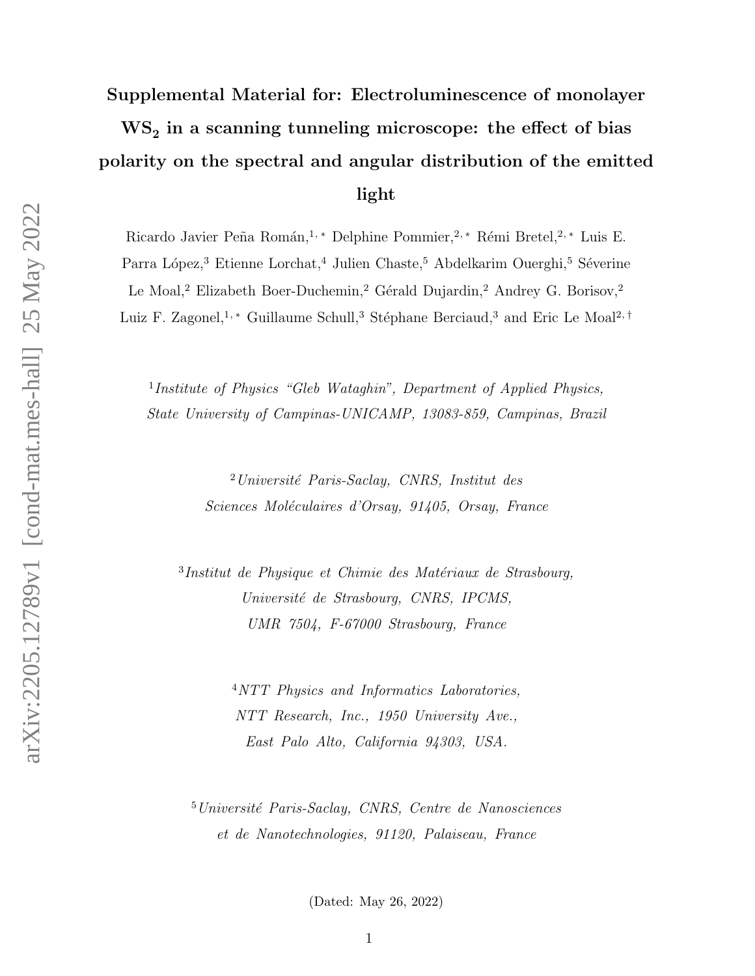# Supplemental Material for: Electroluminescence of monolayer  $\mathrm{WS}_2$  in a scanning tunneling microscope: the effect of bias polarity on the spectral and angular distribution of the emitted light

Ricardo Javier Peña Román,<sup>1,</sup> ∗ Delphine Pommier,<sup>2,</sup> ∗ Rémi Bretel,<sup>2,</sup> ∗ Luis E.

Parra López,<sup>3</sup> Etienne Lorchat,<sup>4</sup> Julien Chaste,<sup>5</sup> Abdelkarim Ouerghi,<sup>5</sup> Séverine

Le Moal,<sup>2</sup> Elizabeth Boer-Duchemin,<sup>2</sup> Gérald Dujardin,<sup>2</sup> Andrey G. Borisov,<sup>2</sup>

Luiz F. Zagonel,<sup>1, \*</sup> Guillaume Schull,<sup>3</sup> Stéphane Berciaud,<sup>3</sup> and Eric Le Moal<sup>2, †</sup>

<sup>1</sup>Institute of Physics "Gleb Wataghin", Department of Applied Physics, State University of Campinas-UNICAMP, 13083-859, Campinas, Brazil

> $2$ Université Paris-Saclay, CNRS, Institut des Sciences Moléculaires d'Orsay, 91405, Orsay, France

<sup>3</sup>Institut de Physique et Chimie des Matériaux de Strasbourg, Université de Strasbourg, CNRS, IPCMS, UMR 7504, F-67000 Strasbourg, France

> <sup>4</sup>NTT Physics and Informatics Laboratories, NTT Research, Inc., 1950 University Ave., East Palo Alto, California 94303, USA.

 $5$ Université Paris-Saclay, CNRS, Centre de Nanosciences et de Nanotechnologies, 91120, Palaiseau, France

(Dated: May 26, 2022)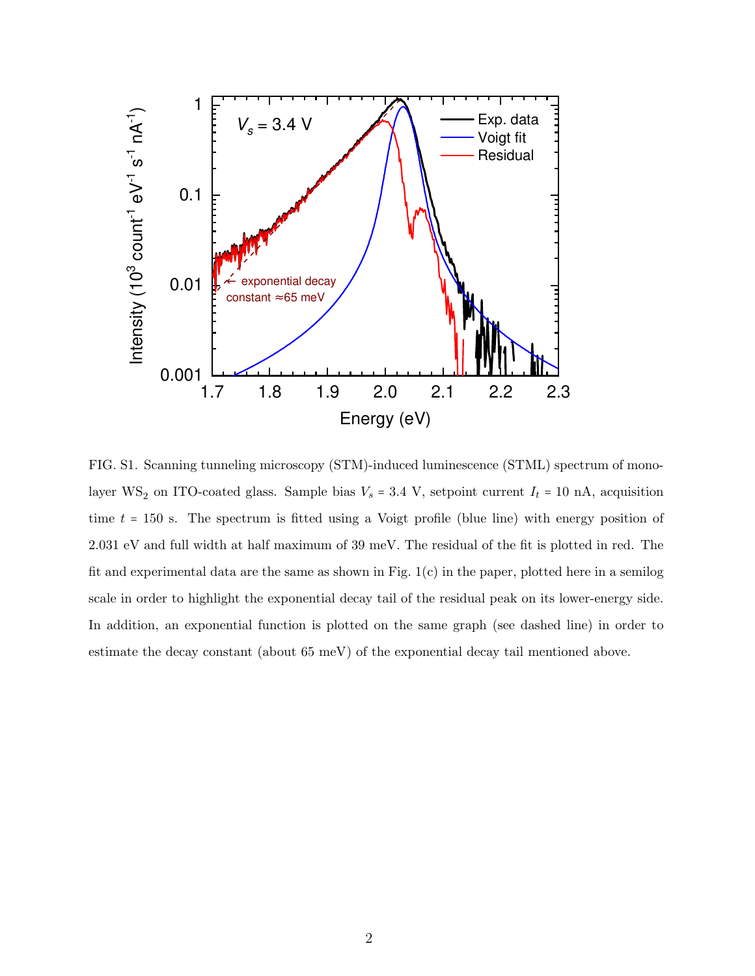

FIG. S1. Scanning tunneling microscopy (STM)-induced luminescence (STML) spectrum of monolayer WS<sub>2</sub> on ITO-coated glass. Sample bias  $V_s = 3.4$  V, setpoint current  $I_t = 10$  nA, acquisition time  $t = 150$  s. The spectrum is fitted using a Voigt profile (blue line) with energy position of 2.031 eV and full width at half maximum of 39 meV. The residual of the fit is plotted in red. The fit and experimental data are the same as shown in Fig.  $1(c)$  in the paper, plotted here in a semilog scale in order to highlight the exponential decay tail of the residual peak on its lower-energy side. In addition, an exponential function is plotted on the same graph (see dashed line) in order to estimate the decay constant (about 65 meV) of the exponential decay tail mentioned above.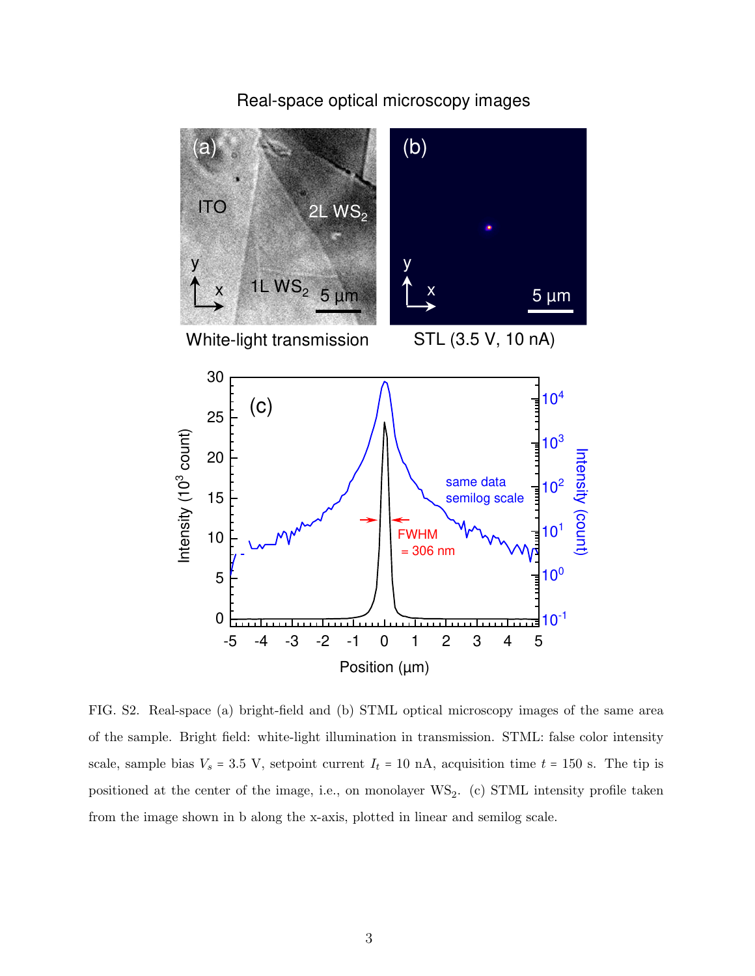

## Real-space optical microscopy images

FIG. S2. Real-space (a) bright-field and (b) STML optical microscopy images of the same area of the sample. Bright field: white-light illumination in transmission. STML: false color intensity scale, sample bias  $V_s = 3.5$  V, setpoint current  $I_t = 10$  nA, acquisition time  $t = 150$  s. The tip is positioned at the center of the image, i.e., on monolayer  $WS_2$ . (c) STML intensity profile taken from the image shown in b along the x-axis, plotted in linear and semilog scale.